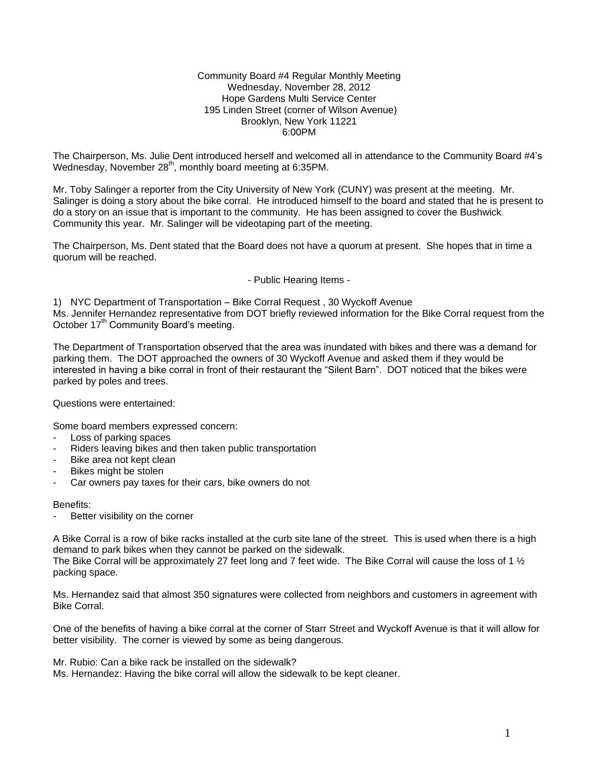Community Board #4 Regular Monthly Meeting Wednesday, November 28, 2012 Hope Gardens Multi Service Center 195 Linden Street (corner of Wilson Avenue) Brooklyn, New York 11221 6:00PM

The Chairperson, Ms. Julie Dent introduced herself and welcomed all in attendance to the Community Board #4's Wednesday, November 28<sup>th</sup>, monthly board meeting at 6:35PM.

Mr. Toby Salinger a reporter from the City University of New York (CUNY) was present at the meeting. Mr. Salinger is doing a story about the bike corral. He introduced himself to the board and stated that he is present to do a story on an issue that is important to the community. He has been assigned to cover the Bushwick Community this year. Mr. Salinger will be videotaping part of the meeting.

The Chairperson, Ms. Dent stated that the Board does not have a quorum at present. She hopes that in time a quorum will be reached.

- Public Hearing Items -

1) NYC Department of Transportation – Bike Corral Request , 30 Wyckoff Avenue Ms. Jennifer Hernandez representative from DOT briefly reviewed information for the Bike Corral request from the October 17<sup>th</sup> Community Board's meeting.

The Department of Transportation observed that the area was inundated with bikes and there was a demand for parking them. The DOT approached the owners of 30 Wyckoff Avenue and asked them if they would be interested in having a bike corral in front of their restaurant the "Silent Barn". DOT noticed that the bikes were parked by poles and trees.

Questions were entertained:

Some board members expressed concern:

- Loss of parking spaces
- Riders leaving bikes and then taken public transportation
- Bike area not kept clean
- Bikes might be stolen
- Car owners pay taxes for their cars, bike owners do not

Benefits:

Better visibility on the corner

A Bike Corral is a row of bike racks installed at the curb site lane of the street. This is used when there is a high demand to park bikes when they cannot be parked on the sidewalk.

The Bike Corral will be approximately 27 feet long and 7 feet wide. The Bike Corral will cause the loss of 1  $\frac{1}{2}$ packing space.

Ms. Hernandez said that almost 350 signatures were collected from neighbors and customers in agreement with Bike Corral.

One of the benefits of having a bike corral at the corner of Starr Street and Wyckoff Avenue is that it will allow for better visibility. The corner is viewed by some as being dangerous.

Mr. Rubio: Can a bike rack be installed on the sidewalk?

Ms. Hernandez: Having the bike corral will allow the sidewalk to be kept cleaner.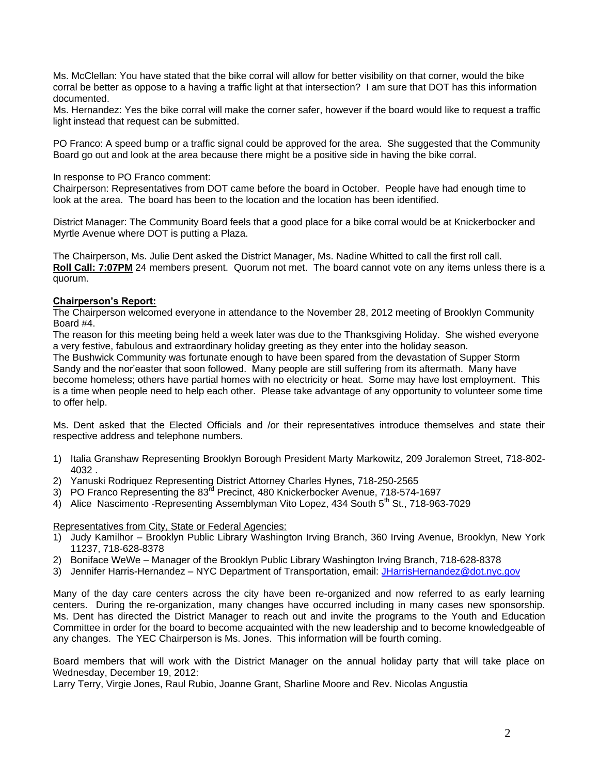Ms. McClellan: You have stated that the bike corral will allow for better visibility on that corner, would the bike corral be better as oppose to a having a traffic light at that intersection? I am sure that DOT has this information documented.

Ms. Hernandez: Yes the bike corral will make the corner safer, however if the board would like to request a traffic light instead that request can be submitted.

PO Franco: A speed bump or a traffic signal could be approved for the area. She suggested that the Community Board go out and look at the area because there might be a positive side in having the bike corral.

#### In response to PO Franco comment:

Chairperson: Representatives from DOT came before the board in October. People have had enough time to look at the area. The board has been to the location and the location has been identified.

District Manager: The Community Board feels that a good place for a bike corral would be at Knickerbocker and Myrtle Avenue where DOT is putting a Plaza.

The Chairperson, Ms. Julie Dent asked the District Manager, Ms. Nadine Whitted to call the first roll call. **Roll Call: 7:07PM** 24 members present. Quorum not met. The board cannot vote on any items unless there is a quorum.

### **Chairperson's Report:**

The Chairperson welcomed everyone in attendance to the November 28, 2012 meeting of Brooklyn Community Board #4.

The reason for this meeting being held a week later was due to the Thanksgiving Holiday. She wished everyone a very festive, fabulous and extraordinary holiday greeting as they enter into the holiday season.

The Bushwick Community was fortunate enough to have been spared from the devastation of Supper Storm Sandy and the nor'easter that soon followed. Many people are still suffering from its aftermath. Many have become homeless; others have partial homes with no electricity or heat. Some may have lost employment. This is a time when people need to help each other. Please take advantage of any opportunity to volunteer some time to offer help.

Ms. Dent asked that the Elected Officials and /or their representatives introduce themselves and state their respective address and telephone numbers.

- 1) Italia Granshaw Representing Brooklyn Borough President Marty Markowitz, 209 Joralemon Street, 718-802- 4032 .
- 2) Yanuski Rodriquez Representing District Attorney Charles Hynes, 718-250-2565
- 3) PO Franco Representing the  $83^{rd}$  Precinct, 480 Knickerbocker Avenue, 718-574-1697
- 4) Alice Nascimento -Representing Assemblyman Vito Lopez, 434 South 5<sup>th</sup> St., 718-963-7029

#### Representatives from City, State or Federal Agencies:

- 1) Judy Kamilhor Brooklyn Public Library Washington Irving Branch, 360 Irving Avenue, Brooklyn, New York 11237, 718-628-8378
- 2) Boniface WeWe Manager of the Brooklyn Public Library Washington Irving Branch, 718-628-8378
- 3) Jennifer Harris-Hernandez NYC Department of Transportation, email: [JHarrisHernandez@dot.nyc.gov](mailto:JHarrisHernandez@dot.nyc.gov)

Many of the day care centers across the city have been re-organized and now referred to as early learning centers. During the re-organization, many changes have occurred including in many cases new sponsorship. Ms. Dent has directed the District Manager to reach out and invite the programs to the Youth and Education Committee in order for the board to become acquainted with the new leadership and to become knowledgeable of any changes. The YEC Chairperson is Ms. Jones. This information will be fourth coming.

Board members that will work with the District Manager on the annual holiday party that will take place on Wednesday, December 19, 2012:

Larry Terry, Virgie Jones, Raul Rubio, Joanne Grant, Sharline Moore and Rev. Nicolas Angustia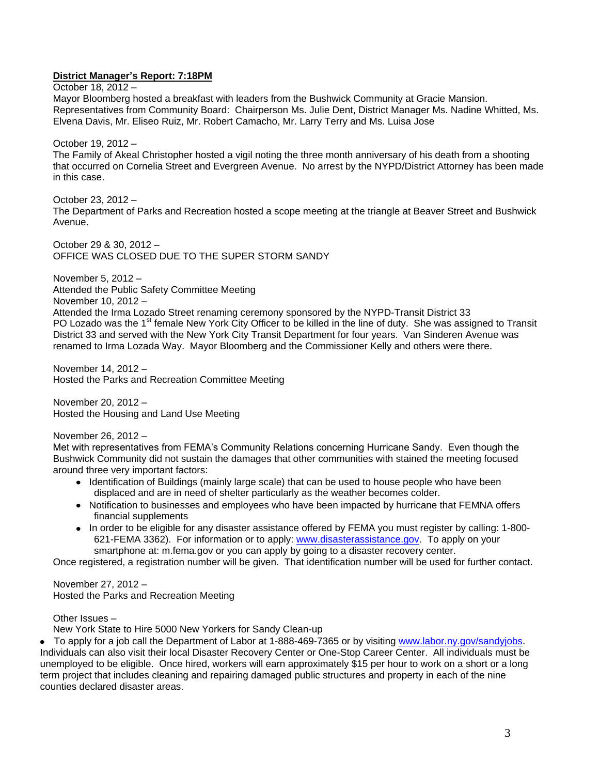# **District Manager's Report: 7:18PM**

October 18, 2012 –

Mayor Bloomberg hosted a breakfast with leaders from the Bushwick Community at Gracie Mansion. Representatives from Community Board: Chairperson Ms. Julie Dent, District Manager Ms. Nadine Whitted, Ms. Elvena Davis, Mr. Eliseo Ruiz, Mr. Robert Camacho, Mr. Larry Terry and Ms. Luisa Jose

October 19, 2012 –

The Family of Akeal Christopher hosted a vigil noting the three month anniversary of his death from a shooting that occurred on Cornelia Street and Evergreen Avenue. No arrest by the NYPD/District Attorney has been made in this case.

October 23, 2012 – The Department of Parks and Recreation hosted a scope meeting at the triangle at Beaver Street and Bushwick Avenue.

October 29 & 30, 2012 – OFFICE WAS CLOSED DUE TO THE SUPER STORM SANDY

November 5, 2012 – Attended the Public Safety Committee Meeting November 10, 2012 – Attended the Irma Lozado Street renaming ceremony sponsored by the NYPD-Transit District 33 PO Lozado was the 1<sup>st</sup> female New York City Officer to be killed in the line of duty. She was assigned to Transit District 33 and served with the New York City Transit Department for four years. Van Sinderen Avenue was renamed to Irma Lozada Way. Mayor Bloomberg and the Commissioner Kelly and others were there.

November 14, 2012 – Hosted the Parks and Recreation Committee Meeting

November 20, 2012 – Hosted the Housing and Land Use Meeting

November 26, 2012 –

Met with representatives from FEMA's Community Relations concerning Hurricane Sandy. Even though the Bushwick Community did not sustain the damages that other communities with stained the meeting focused around three very important factors:

- Identification of Buildings (mainly large scale) that can be used to house people who have been displaced and are in need of shelter particularly as the weather becomes colder.
- Notification to businesses and employees who have been impacted by hurricane that FEMNA offers financial supplements
- In order to be eligible for any disaster assistance offered by FEMA you must register by calling: 1-800-621-FEMA 3362). For information or to apply: [www.disasterassistance.gov.](http://www.disasterassistance.gov/) To apply on your smartphone at: m.fema.gov or you can apply by going to a disaster recovery center.

Once registered, a registration number will be given. That identification number will be used for further contact.

November 27, 2012 – Hosted the Parks and Recreation Meeting

Other Issues –

New York State to Hire 5000 New Yorkers for Sandy Clean-up

• To apply for a job call the Department of Labor at 1-888-469-7365 or by visiting [www.labor.ny.gov/sandyjobs.](http://www.labor.ny.gov/sandyjobs) Individuals can also visit their local Disaster Recovery Center or One-Stop Career Center. All individuals must be unemployed to be eligible. Once hired, workers will earn approximately \$15 per hour to work on a short or a long term project that includes cleaning and repairing damaged public structures and property in each of the nine counties declared disaster areas.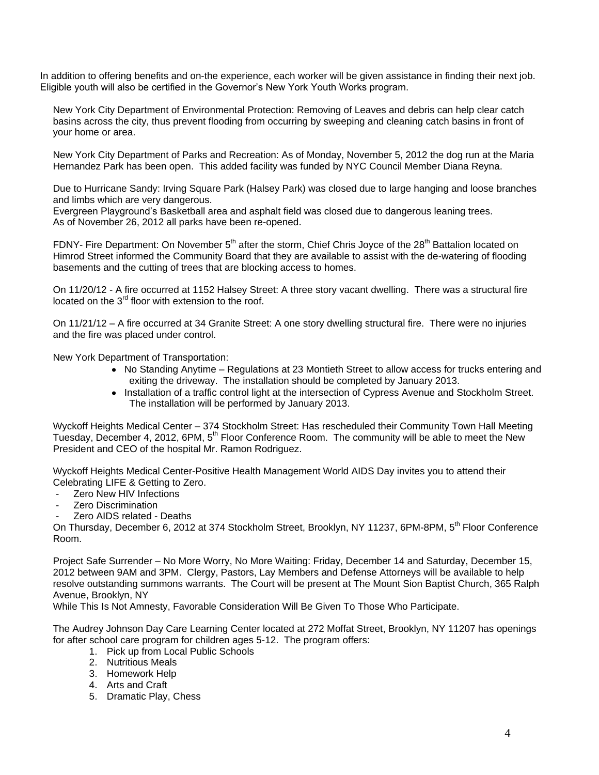In addition to offering benefits and on-the experience, each worker will be given assistance in finding their next job. Eligible youth will also be certified in the Governor's New York Youth Works program.

New York City Department of Environmental Protection: Removing of Leaves and debris can help clear catch basins across the city, thus prevent flooding from occurring by sweeping and cleaning catch basins in front of your home or area.

New York City Department of Parks and Recreation: As of Monday, November 5, 2012 the dog run at the Maria Hernandez Park has been open. This added facility was funded by NYC Council Member Diana Reyna.

Due to Hurricane Sandy: Irving Square Park (Halsey Park) was closed due to large hanging and loose branches and limbs which are very dangerous.

Evergreen Playground's Basketball area and asphalt field was closed due to dangerous leaning trees. As of November 26, 2012 all parks have been re-opened.

FDNY- Fire Department: On November 5<sup>th</sup> after the storm, Chief Chris Joyce of the 28<sup>th</sup> Battalion located on Himrod Street informed the Community Board that they are available to assist with the de-watering of flooding basements and the cutting of trees that are blocking access to homes.

On 11/20/12 - A fire occurred at 1152 Halsey Street: A three story vacant dwelling. There was a structural fire located on the  $3<sup>rd</sup>$  floor with extension to the roof.

On 11/21/12 – A fire occurred at 34 Granite Street: A one story dwelling structural fire. There were no injuries and the fire was placed under control.

New York Department of Transportation:

- No Standing Anytime Regulations at 23 Montieth Street to allow access for trucks entering and exiting the driveway. The installation should be completed by January 2013.
- Installation of a traffic control light at the intersection of Cypress Avenue and Stockholm Street. The installation will be performed by January 2013.

Wyckoff Heights Medical Center – 374 Stockholm Street: Has rescheduled their Community Town Hall Meeting Tuesday, December 4, 2012, 6PM, 5<sup>th</sup> Floor Conference Room. The community will be able to meet the New President and CEO of the hospital Mr. Ramon Rodriguez.

Wyckoff Heights Medical Center-Positive Health Management World AIDS Day invites you to attend their Celebrating LIFE & Getting to Zero.

- Zero New HIV Infections
- Zero Discrimination
- Zero AIDS related Deaths

On Thursday, December 6, 2012 at 374 Stockholm Street, Brooklyn, NY 11237, 6PM-8PM, 5<sup>th</sup> Floor Conference Room.

Project Safe Surrender – No More Worry, No More Waiting: Friday, December 14 and Saturday, December 15, 2012 between 9AM and 3PM. Clergy, Pastors, Lay Members and Defense Attorneys will be available to help resolve outstanding summons warrants. The Court will be present at The Mount Sion Baptist Church, 365 Ralph Avenue, Brooklyn, NY

While This Is Not Amnesty, Favorable Consideration Will Be Given To Those Who Participate.

The Audrey Johnson Day Care Learning Center located at 272 Moffat Street, Brooklyn, NY 11207 has openings for after school care program for children ages 5-12. The program offers:

- 1. Pick up from Local Public Schools
- 2. Nutritious Meals
- 3. Homework Help
- 4. Arts and Craft
- 5. Dramatic Play, Chess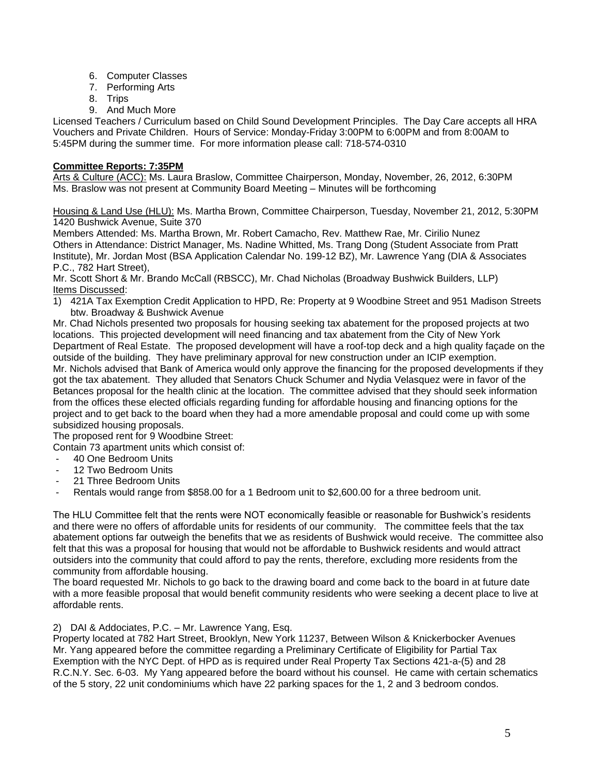- 6. Computer Classes
- 7. Performing Arts
- 8. Trips
- 9. And Much More

Licensed Teachers / Curriculum based on Child Sound Development Principles. The Day Care accepts all HRA Vouchers and Private Children. Hours of Service: Monday-Friday 3:00PM to 6:00PM and from 8:00AM to 5:45PM during the summer time. For more information please call: 718-574-0310

# **Committee Reports: 7:35PM**

Arts & Culture (ACC): Ms. Laura Braslow, Committee Chairperson, Monday, November, 26, 2012, 6:30PM Ms. Braslow was not present at Community Board Meeting – Minutes will be forthcoming

Housing & Land Use (HLU): Ms. Martha Brown, Committee Chairperson, Tuesday, November 21, 2012, 5:30PM 1420 Bushwick Avenue, Suite 370

Members Attended: Ms. Martha Brown, Mr. Robert Camacho, Rev. Matthew Rae, Mr. Cirilio Nunez Others in Attendance: District Manager, Ms. Nadine Whitted, Ms. Trang Dong (Student Associate from Pratt Institute), Mr. Jordan Most (BSA Application Calendar No. 199-12 BZ), Mr. Lawrence Yang (DIA & Associates P.C., 782 Hart Street),

Mr. Scott Short & Mr. Brando McCall (RBSCC), Mr. Chad Nicholas (Broadway Bushwick Builders, LLP) Items Discussed:

1) 421A Tax Exemption Credit Application to HPD, Re: Property at 9 Woodbine Street and 951 Madison Streets btw. Broadway & Bushwick Avenue

Mr. Chad Nichols presented two proposals for housing seeking tax abatement for the proposed projects at two locations. This projected development will need financing and tax abatement from the City of New York Department of Real Estate. The proposed development will have a roof-top deck and a high quality façade on the outside of the building. They have preliminary approval for new construction under an ICIP exemption. Mr. Nichols advised that Bank of America would only approve the financing for the proposed developments if they got the tax abatement. They alluded that Senators Chuck Schumer and Nydia Velasquez were in favor of the Betances proposal for the health clinic at the location. The committee advised that they should seek information from the offices these elected officials regarding funding for affordable housing and financing options for the project and to get back to the board when they had a more amendable proposal and could come up with some subsidized housing proposals.

The proposed rent for 9 Woodbine Street:

Contain 73 apartment units which consist of:

- 40 One Bedroom Units
- 12 Two Bedroom Units
- 21 Three Bedroom Units
- Rentals would range from \$858.00 for a 1 Bedroom unit to \$2,600.00 for a three bedroom unit.

The HLU Committee felt that the rents were NOT economically feasible or reasonable for Bushwick's residents and there were no offers of affordable units for residents of our community. The committee feels that the tax abatement options far outweigh the benefits that we as residents of Bushwick would receive. The committee also felt that this was a proposal for housing that would not be affordable to Bushwick residents and would attract outsiders into the community that could afford to pay the rents, therefore, excluding more residents from the community from affordable housing.

The board requested Mr. Nichols to go back to the drawing board and come back to the board in at future date with a more feasible proposal that would benefit community residents who were seeking a decent place to live at affordable rents.

# 2) DAI & Addociates, P.C. – Mr. Lawrence Yang, Esq.

Property located at 782 Hart Street, Brooklyn, New York 11237, Between Wilson & Knickerbocker Avenues Mr. Yang appeared before the committee regarding a Preliminary Certificate of Eligibility for Partial Tax Exemption with the NYC Dept. of HPD as is required under Real Property Tax Sections 421-a-(5) and 28 R.C.N.Y. Sec. 6-03. My Yang appeared before the board without his counsel. He came with certain schematics of the 5 story, 22 unit condominiums which have 22 parking spaces for the 1, 2 and 3 bedroom condos.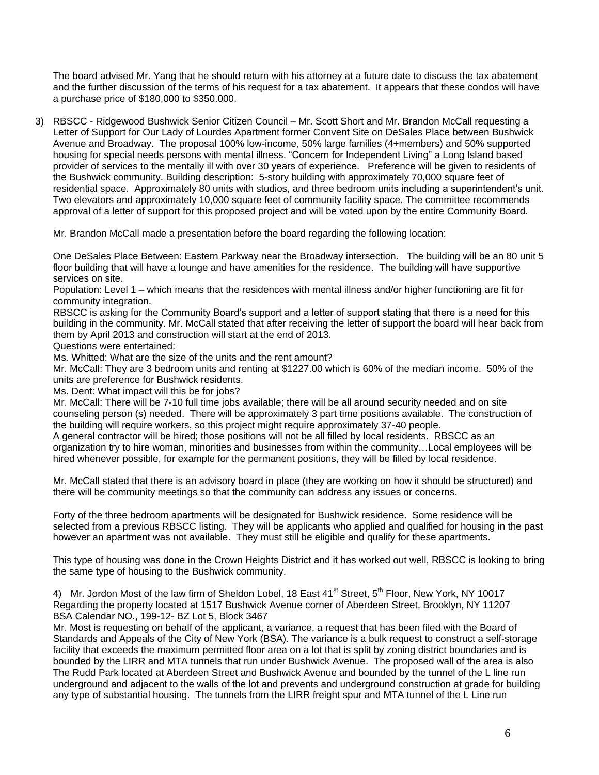The board advised Mr. Yang that he should return with his attorney at a future date to discuss the tax abatement and the further discussion of the terms of his request for a tax abatement. It appears that these condos will have a purchase price of \$180,000 to \$350.000.

3) RBSCC - Ridgewood Bushwick Senior Citizen Council – Mr. Scott Short and Mr. Brandon McCall requesting a Letter of Support for Our Lady of Lourdes Apartment former Convent Site on DeSales Place between Bushwick Avenue and Broadway. The proposal 100% low-income, 50% large families (4+members) and 50% supported housing for special needs persons with mental illness. "Concern for Independent Living" a Long Island based provider of services to the mentally ill with over 30 years of experience. Preference will be given to residents of the Bushwick community. Building description: 5-story building with approximately 70,000 square feet of residential space. Approximately 80 units with studios, and three bedroom units including a superintendent's unit. Two elevators and approximately 10,000 square feet of community facility space. The committee recommends approval of a letter of support for this proposed project and will be voted upon by the entire Community Board.

Mr. Brandon McCall made a presentation before the board regarding the following location:

One DeSales Place Between: Eastern Parkway near the Broadway intersection. The building will be an 80 unit 5 floor building that will have a lounge and have amenities for the residence. The building will have supportive services on site.

Population: Level 1 – which means that the residences with mental illness and/or higher functioning are fit for community integration.

RBSCC is asking for the Community Board's support and a letter of support stating that there is a need for this building in the community. Mr. McCall stated that after receiving the letter of support the board will hear back from them by April 2013 and construction will start at the end of 2013.

Questions were entertained:

Ms. Whitted: What are the size of the units and the rent amount?

Mr. McCall: They are 3 bedroom units and renting at \$1227.00 which is 60% of the median income. 50% of the units are preference for Bushwick residents.

Ms. Dent: What impact will this be for jobs?

Mr. McCall: There will be 7-10 full time jobs available; there will be all around security needed and on site counseling person (s) needed. There will be approximately 3 part time positions available. The construction of the building will require workers, so this project might require approximately 37-40 people.

A general contractor will be hired; those positions will not be all filled by local residents. RBSCC as an organization try to hire woman, minorities and businesses from within the community…Local employees will be hired whenever possible, for example for the permanent positions, they will be filled by local residence.

Mr. McCall stated that there is an advisory board in place (they are working on how it should be structured) and there will be community meetings so that the community can address any issues or concerns.

Forty of the three bedroom apartments will be designated for Bushwick residence. Some residence will be selected from a previous RBSCC listing. They will be applicants who applied and qualified for housing in the past however an apartment was not available. They must still be eligible and qualify for these apartments.

This type of housing was done in the Crown Heights District and it has worked out well, RBSCC is looking to bring the same type of housing to the Bushwick community.

4) Mr. Jordon Most of the law firm of Sheldon Lobel, 18 East  $41^{st}$  Street,  $5^{th}$  Floor, New York, NY 10017 Regarding the property located at 1517 Bushwick Avenue corner of Aberdeen Street, Brooklyn, NY 11207 BSA Calendar NO., 199-12- BZ Lot 5, Block 3467

Mr. Most is requesting on behalf of the applicant, a variance, a request that has been filed with the Board of Standards and Appeals of the City of New York (BSA). The variance is a bulk request to construct a self-storage facility that exceeds the maximum permitted floor area on a lot that is split by zoning district boundaries and is bounded by the LIRR and MTA tunnels that run under Bushwick Avenue. The proposed wall of the area is also The Rudd Park located at Aberdeen Street and Bushwick Avenue and bounded by the tunnel of the L line run underground and adjacent to the walls of the lot and prevents and underground construction at grade for building any type of substantial housing. The tunnels from the LIRR freight spur and MTA tunnel of the L Line run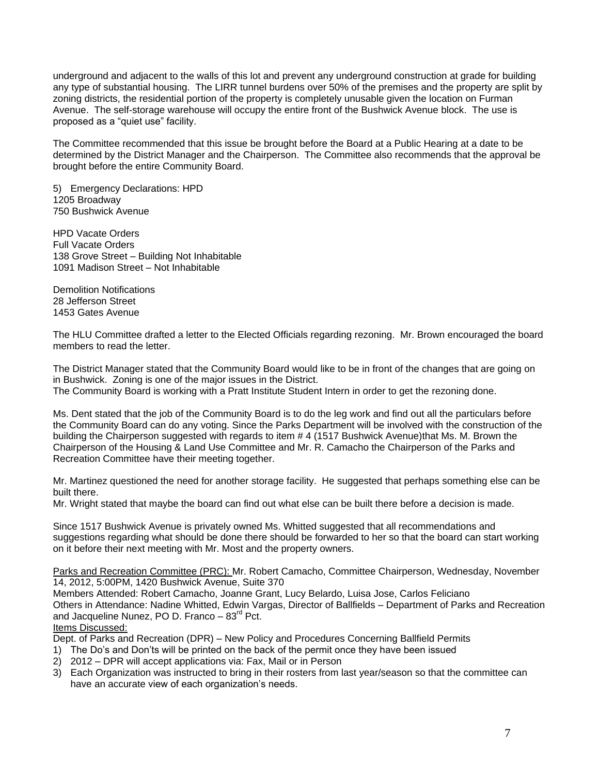underground and adjacent to the walls of this lot and prevent any underground construction at grade for building any type of substantial housing. The LIRR tunnel burdens over 50% of the premises and the property are split by zoning districts, the residential portion of the property is completely unusable given the location on Furman Avenue. The self-storage warehouse will occupy the entire front of the Bushwick Avenue block. The use is proposed as a "quiet use" facility.

The Committee recommended that this issue be brought before the Board at a Public Hearing at a date to be determined by the District Manager and the Chairperson. The Committee also recommends that the approval be brought before the entire Community Board.

5) Emergency Declarations: HPD 1205 Broadway 750 Bushwick Avenue

HPD Vacate Orders Full Vacate Orders 138 Grove Street – Building Not Inhabitable 1091 Madison Street – Not Inhabitable

Demolition Notifications 28 Jefferson Street 1453 Gates Avenue

The HLU Committee drafted a letter to the Elected Officials regarding rezoning. Mr. Brown encouraged the board members to read the letter.

The District Manager stated that the Community Board would like to be in front of the changes that are going on in Bushwick. Zoning is one of the major issues in the District. The Community Board is working with a Pratt Institute Student Intern in order to get the rezoning done.

Ms. Dent stated that the job of the Community Board is to do the leg work and find out all the particulars before the Community Board can do any voting. Since the Parks Department will be involved with the construction of the building the Chairperson suggested with regards to item # 4 (1517 Bushwick Avenue)that Ms. M. Brown the Chairperson of the Housing & Land Use Committee and Mr. R. Camacho the Chairperson of the Parks and Recreation Committee have their meeting together.

Mr. Martinez questioned the need for another storage facility. He suggested that perhaps something else can be built there.

Mr. Wright stated that maybe the board can find out what else can be built there before a decision is made.

Since 1517 Bushwick Avenue is privately owned Ms. Whitted suggested that all recommendations and suggestions regarding what should be done there should be forwarded to her so that the board can start working on it before their next meeting with Mr. Most and the property owners.

Parks and Recreation Committee (PRC): Mr. Robert Camacho, Committee Chairperson, Wednesday, November 14, 2012, 5:00PM, 1420 Bushwick Avenue, Suite 370

Members Attended: Robert Camacho, Joanne Grant, Lucy Belardo, Luisa Jose, Carlos Feliciano Others in Attendance: Nadine Whitted, Edwin Vargas, Director of Ballfields – Department of Parks and Recreation and Jacqueline Nunez, PO D. Franco  $-83<sup>rd</sup>$  Pct.

Items Discussed:

Dept. of Parks and Recreation (DPR) – New Policy and Procedures Concerning Ballfield Permits

- 1) The Do's and Don'ts will be printed on the back of the permit once they have been issued
- 2) 2012 DPR will accept applications via: Fax, Mail or in Person
- 3) Each Organization was instructed to bring in their rosters from last year/season so that the committee can have an accurate view of each organization's needs.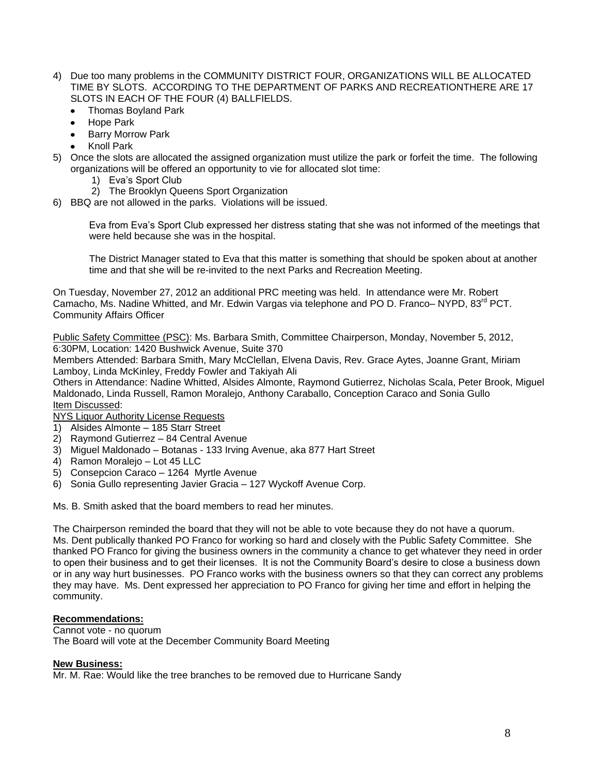- 4) Due too many problems in the COMMUNITY DISTRICT FOUR, ORGANIZATIONS WILL BE ALLOCATED TIME BY SLOTS. ACCORDING TO THE DEPARTMENT OF PARKS AND RECREATIONTHERE ARE 17 SLOTS IN EACH OF THE FOUR (4) BALLFIELDS.
	- Thomas Boyland Park  $\bullet$
	- Hope Park
	- Barry Morrow Park
	- Knoll Park
- 5) Once the slots are allocated the assigned organization must utilize the park or forfeit the time. The following organizations will be offered an opportunity to vie for allocated slot time:
	- 1) Eva's Sport Club
	- 2) The Brooklyn Queens Sport Organization
- 6) BBQ are not allowed in the parks. Violations will be issued.

Eva from Eva's Sport Club expressed her distress stating that she was not informed of the meetings that were held because she was in the hospital.

The District Manager stated to Eva that this matter is something that should be spoken about at another time and that she will be re-invited to the next Parks and Recreation Meeting.

On Tuesday, November 27, 2012 an additional PRC meeting was held. In attendance were Mr. Robert Camacho, Ms. Nadine Whitted, and Mr. Edwin Vargas via telephone and PO D. Franco– NYPD, 83<sup>rd</sup> PCT. Community Affairs Officer

Public Safety Committee (PSC): Ms. Barbara Smith, Committee Chairperson, Monday, November 5, 2012, 6:30PM, Location: 1420 Bushwick Avenue, Suite 370

Members Attended: Barbara Smith, Mary McClellan, Elvena Davis, Rev. Grace Aytes, Joanne Grant, Miriam Lamboy, Linda McKinley, Freddy Fowler and Takiyah Ali

Others in Attendance: Nadine Whitted, Alsides Almonte, Raymond Gutierrez, Nicholas Scala, Peter Brook, Miguel Maldonado, Linda Russell, Ramon Moralejo, Anthony Caraballo, Conception Caraco and Sonia Gullo Item Discussed:

NYS Liquor Authority License Requests

- 1) Alsides Almonte 185 Starr Street
- 2) Raymond Gutierrez 84 Central Avenue
- 3) Miguel Maldonado Botanas 133 Irving Avenue, aka 877 Hart Street
- 4) Ramon Moralejo Lot 45 LLC
- 5) Consepcion Caraco 1264 Myrtle Avenue
- 6) Sonia Gullo representing Javier Gracia 127 Wyckoff Avenue Corp.

Ms. B. Smith asked that the board members to read her minutes.

The Chairperson reminded the board that they will not be able to vote because they do not have a quorum. Ms. Dent publically thanked PO Franco for working so hard and closely with the Public Safety Committee. She thanked PO Franco for giving the business owners in the community a chance to get whatever they need in order to open their business and to get their licenses. It is not the Community Board's desire to close a business down or in any way hurt businesses. PO Franco works with the business owners so that they can correct any problems they may have. Ms. Dent expressed her appreciation to PO Franco for giving her time and effort in helping the community.

# **Recommendations:**

Cannot vote - no quorum The Board will vote at the December Community Board Meeting

#### **New Business:**

Mr. M. Rae: Would like the tree branches to be removed due to Hurricane Sandy